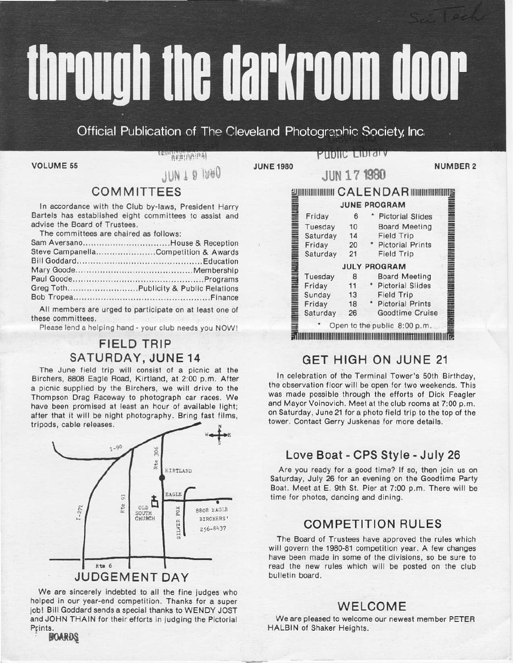# through the darkroom door

Official Publication of The Cleveland Photographic Society, Inc.

**VOLUME 55** 

**ARRIGANTS** 

JUN I 0 1980

PHONG LIDI di V

**JUNE 1980** 

**NUMBER 2** 

# **COMMITTEES**

In accordance with the Club by-laws, President Harry Bartels has established eight committees to assist and advise the Board of Trustees

The committees are chaired as follows:

| Sam AversanoHouse & Reception        |  |
|--------------------------------------|--|
| Steve CampanellaCompetition & Awards |  |
|                                      |  |
|                                      |  |
|                                      |  |
|                                      |  |
|                                      |  |

All members are urged to participate on at least one of these committees.

Please lend a helping hand - your club needs you NOW!

# **FIELD TRIP** SATURDAY, JUNE 14

The June field trip will consist of a picnic at the Birchers, 8808 Eagle Road, Kirtland, at 2:00 p.m. After a picnic supplied by the Birchers, we will drive to the Thompson Drag Raceway to photograph car races. We have been promised at least an hour of available light; after that it will be night photography. Bring fast films, tripods, cable releases.



We are sincerely indebted to all the fine judges who helped in our year-end competition. Thanks for a super job! Bill Goddard sends a special thanks to WENDY JOST and JOHN THAIN for their efforts in judging the Pictorial Prints.

**BOARDS** 

|          |    | <b>IIIIIIIIIIII CALENDAR IIIIIIIIII</b><br><b>JUNE PROGRAM</b> |
|----------|----|----------------------------------------------------------------|
|          |    |                                                                |
| Friday   | 6  | <b>Pictorial Slides</b>                                        |
| Tuesday  | 10 | <b>Board Meeting</b>                                           |
| Saturday | 14 | <b>Field Trip</b>                                              |
| Friday   | 20 | <b>Pictorial Prints</b>                                        |
| Saturday | 21 | <b>Field Trip</b>                                              |
|          |    | <b>JULY PROGRAM</b>                                            |
| Tuesday  | 8  | <b>Board Meeting</b>                                           |
| Friday   | 11 | <b>Pictorial Slides</b>                                        |
| Sunday   | 13 | <b>Field Trip</b>                                              |
| Friday   | 18 | * Pictorial Prints                                             |
| Saturday | 26 | Goodtime Cruise                                                |

**IIIN 171980** 

# **Edmontonomia de la construcción de la construcción de la construcción de la construcción de la construcción de**

# **GET HIGH ON JUNE 21**

In celebration of the Terminal Tower's 50th Birthday, the observation floor will be open for two weekends. This was made possible through the efforts of Dick Feagler and Mayor Voinovich. Meet at the club rooms at 7:00 p.m. on Saturday, June 21 for a photo field trip to the top of the tower. Contact Gerry Juskenas for more details.

# Love Boat - CPS Style - July 26

Are you ready for a good time? If so, then join us on Saturday, July 26 for an evening on the Goodtime Party Boat. Meet at E. 9th St. Pier at 7:00 p.m. There will be time for photos, dancing and dining.

# **COMPETITION RULES**

The Board of Trustees have approved the rules which will govern the 1980-81 competition year. A few changes have been made in some of the divisions, so be sure to read the new rules which will be posted on the club bulletin board.

# **WELCOME**

We are pleased to welcome our newest member PETER HALBIN of Shaker Heights.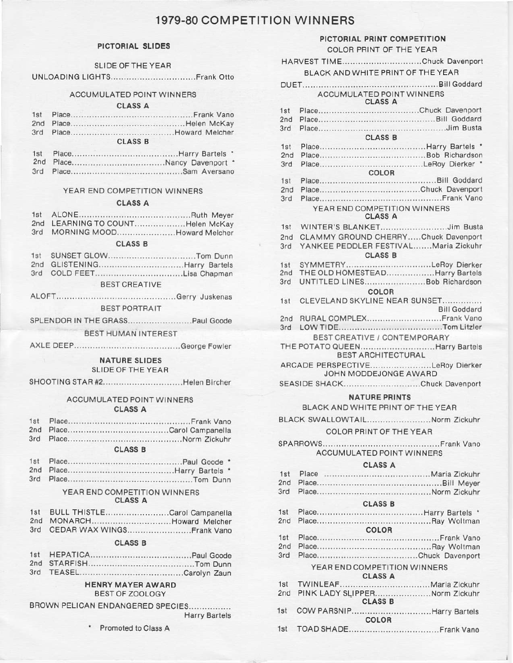# 1979-80 COMPETITION WINNERS

### PICTORIAL SLIDES

### **SLIDE OF THE YEAR**

### ACCUMULATED POINT WINNERS

### **CLASS A**

### **CLASS B**

- 
- 

### YEAR END COMPETITION WINNERS

### CLASS A

- 2nd LEARNING TO COUNT...................Helen McKay
- 

### **CLASS B**

| 3rd COLD FEETLisa Chapman |  |
|---------------------------|--|

### **BEST CREATIVE**

### BEST PORTRAIT

### **BEST HUMAN INTEREST**

### **NATURE SLIDES**

### **SLIDE OF THE YEAR**

| SHOOTING STAR #2Helen Bircher |  |
|-------------------------------|--|
|-------------------------------|--|

### **ACCUMULATED POINT WINNERS CLASS A**

 $1st$ 3rd 

### **CLASS B**

### YEAR END COMPETITION WINNERS **CLASS A**

| 1st BULL THISTLECarol Campanella |  |
|----------------------------------|--|

2nd MONARCH................................Howard Melcher 3rd CEDAR WAX WINGS............................. Frank Vano

### **CLASS B**

### **HENRY MAYER AWARD BEST OF ZOOLOGY**

BROWN PELICAN ENDANGERED SPECIES................

**Harry Bartels** 

Promoted to Class A

|                        | PICTORIAL PRINT COMPETITION<br>COLOR PRINT OF THE YEAR     |
|------------------------|------------------------------------------------------------|
|                        | HARVEST TIMEChuck Davenport                                |
|                        | BLACK AND WHITE PRINT OF THE YEAR                          |
|                        | <b>DUET</b><br><b>ACCUMULATED POINT WINNERS</b>            |
|                        | <b>CLASS A</b>                                             |
| 1st<br>2nd             |                                                            |
| 3rd                    | <b>CLASS B</b>                                             |
| 1st                    |                                                            |
| 2nd                    |                                                            |
| 3rd                    | COLOR                                                      |
| 1st                    |                                                            |
| 2nd                    |                                                            |
| 3rd                    |                                                            |
|                        | YEAR END COMPETITION WINNERS<br><b>CLASS A</b>             |
| 1st                    | WINTER'S BLANKETJim Busta                                  |
| 2nd                    | CLAMMY GROUND CHERRYChuck Davenport                        |
| 3rd                    | YANKEE PEDDLER FESTIVALMaria Zickuhr<br><b>CLASS B</b>     |
| 1st                    | SYMMETRYLeRoy Dierker<br>THE OLD HOMESTEADHarry Bartels    |
| 2nd<br>3rd             | UNTITLED LINES Bob Richardson                              |
|                        | COLOR                                                      |
| 1st                    | CLEVELAND SKYLINE NEAR SUNSET<br><b>Bill Goddard</b>       |
| 2nd                    | RURAL COMPLEX Frank Vano                                   |
|                        |                                                            |
|                        | BEST CREATIVE / CONTEMPORARY                               |
|                        | THE POTATO QUEENHarry Bartels<br><b>BEST ARCHITECTURAL</b> |
|                        | ARCADE PERSPECTIVELeRoy Dierker<br>JOHN MODDEJONGE AWARD   |
|                        | SEASIDE SHACKChuck Davenport                               |
|                        | <b>NATURE PRINTS</b>                                       |
|                        | BLACK AND WHITE PRINT OF THE YEAR                          |
|                        | BLACK SWALLOWTAILNorm Zickuhr                              |
|                        | COLOR PRINT OF THE YEAR                                    |
|                        | SPARROWS<br><b>ACCUMULATED POINT WINNERS</b>               |
|                        | CLASS A                                                    |
| 1st                    |                                                            |
| 2nd                    |                                                            |
| 3rd                    |                                                            |
|                        | <b>CLASS B</b>                                             |
| 1st<br>2 <sub>nd</sub> |                                                            |
|                        | COLOR                                                      |
| 1st                    |                                                            |
|                        |                                                            |
|                        |                                                            |
|                        | YEAR END COMPETITION WINNERS                               |

| <u>ulmuu m</u>                    |  |
|-----------------------------------|--|
|                                   |  |
| 2nd PINK LADY SLIPPERNorm Zickuhr |  |
| <b>CLASS B</b>                    |  |
| 1st COW PARSNIPHarry Bartels      |  |
| <b>COLOR</b>                      |  |
|                                   |  |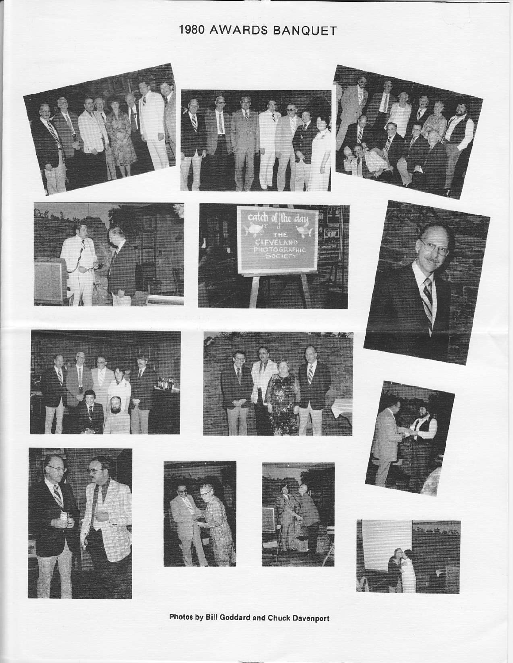# 1980 AWARDS BANQUET



























Photos by Bill Goddard and Chuck Davenport